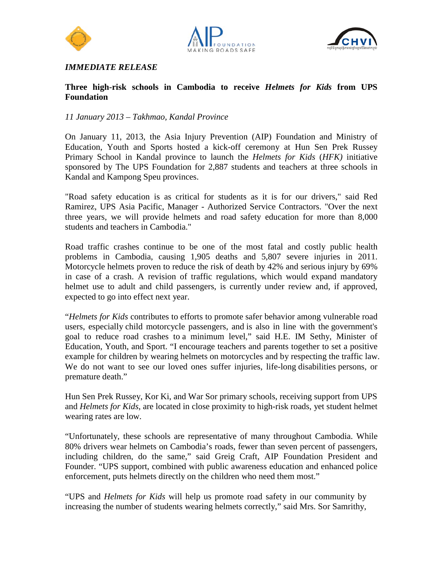





# *IMMEDIATE RELEASE*

### **Three high-risk schools in Cambodia to receive** *Helmets for Kids* **from UPS Foundation**

## *11 January 2013 – Takhmao, Kandal Province*

On January 11, 2013, the Asia Injury Prevention (AIP) Foundation and Ministry of Education, Youth and Sports hosted a kick-off ceremony at Hun Sen Prek Russey Primary School in Kandal province to launch the *Helmets for Kids* (*HFK)* initiative sponsored by The UPS Foundation for 2,887 students and teachers at three schools in Kandal and Kampong Speu provinces.

"Road safety education is as critical for students as it is for our drivers," said Red Ramirez, UPS Asia Pacific, Manager - Authorized Service Contractors. "Over the next three years, we will provide helmets and road safety education for more than 8,000 students and teachers in Cambodia."

Road traffic crashes continue to be one of the most fatal and costly public health problems in Cambodia, causing 1,905 deaths and 5,807 severe injuries in 2011. Motorcycle helmets proven to reduce the risk of death by 42% and serious injury by 69% in case of a crash. A revision of traffic regulations, which would expand mandatory helmet use to adult and child passengers, is currently under review and, if approved, expected to go into effect next year.

"*Helmets for Kids* contributes to efforts to promote safer behavior among vulnerable road users, especially child motorcycle passengers, and is also in line with the government's goal to reduce road crashes to a minimum level," said H.E. IM Sethy, Minister of Education, Youth, and Sport. "I encourage teachers and parents together to set a positive example for children by wearing helmets on motorcycles and by respecting the traffic law. We do not want to see our loved ones suffer injuries, life-long disabilities persons, or premature death."

Hun Sen Prek Russey, Kor Ki, and War Sor primary schools, receiving support from UPS and *Helmets for Kids*, are located in close proximity to high-risk roads, yet student helmet wearing rates are low.

"Unfortunately, these schools are representative of many throughout Cambodia. While 80% drivers wear helmets on Cambodia's roads, fewer than seven percent of passengers, including children, do the same," said Greig Craft, AIP Foundation President and Founder. "UPS support, combined with public awareness education and enhanced police enforcement, puts helmets directly on the children who need them most."

"UPS and *Helmets for Kids* will help us promote road safety in our community by increasing the number of students wearing helmets correctly," said Mrs. Sor Samrithy,